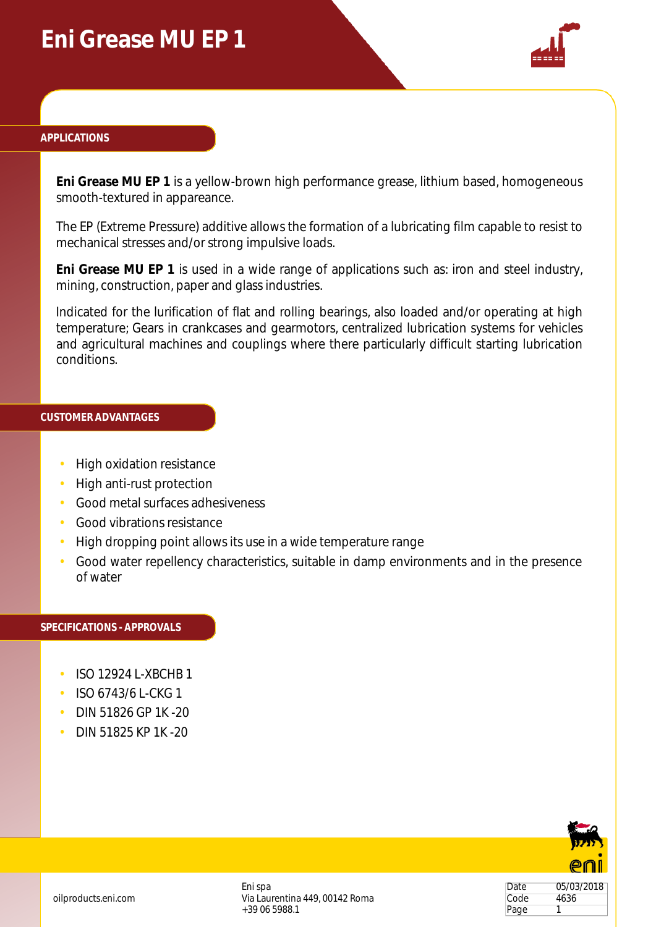# **Eni Grease MU EP 1**



### **APPLICATIONS**

**Eni Grease MU EP 1** is a yellow-brown high performance grease, lithium based, homogeneous smooth-textured in appareance.

The EP (Extreme Pressure) additive allows the formation of a lubricating film capable to resist to mechanical stresses and/or strong impulsive loads.

**Eni Grease MU EP 1** is used in a wide range of applications such as: iron and steel industry, mining, construction, paper and glass industries.

Indicated for the lurification of flat and rolling bearings, also loaded and/or operating at high temperature; Gears in crankcases and gearmotors, centralized lubrication systems for vehicles and agricultural machines and couplings where there particularly difficult starting lubrication conditions.

### **CUSTOMER ADVANTAGES**

- High oxidation resistance
- High anti-rust protection
- Good metal surfaces adhesiveness
- Good vibrations resistance
- High dropping point allows its use in a wide temperature range
- Good water repellency characteristics, suitable in damp environments and in the presence of water

#### **SPECIFICATIONS - APPROVALS**

- ISO 12924 L-XBCHB 1
- ISO 6743/6 L-CKG 1
- DIN 51826 GP 1K -20
- DIN 51825 KP 1K -20



Date 05/03/2018 Code 4636 Page 1

Eni spa Via Laurentina 449, 00142 Roma +39 06 5988.1